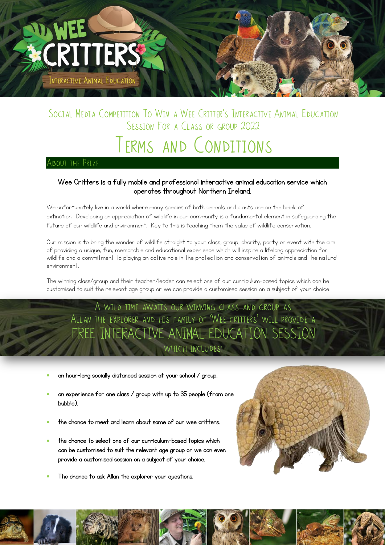

### SOCIAL MEDIA COMPETITION TO WIN A WEE CRITTER'S INTERACTIVE ANIMAL EDUCATION SESSION FOR A CLASS OR GROUP 2022

# Terms and Conditions

#### About the Prize

֦

#### Wee Critters is a fully mobile and professional interactive animal education service which operates throughout Northern Ireland.

We unfortunately live in a world where many species of both animals and plants are on the brink of extinction. Developing an appreciation of wildlife in our community is a fundamental element in safeguarding the future of our wildlife and environment. Key to this is teaching them the value of wildlife conservation.

Our mission is to bring the wonder of wildlife straight to your class, group, charity, party or event with the aim of providing a unique, fun, memorable and educational experience which will inspire a lifelong appreciation for wildlife and a commitment to playing an active role in the protection and conservation of animals and the natural environment.

The winning class/group and their teacher/leader can select one of our curriculum-based topics which can be customised to suit the relevant age group or we can provide a customised session on a subject of your choice.

A wild time awaits our winning class and group as Allan the explorer and his family of 'Wee critters' will provide a FREE INTERACTIVE ANIMAL EDUCATION SESSION which includes:

- an hour-long socially distanced session at your school / group.
- an experience for one class / group with up to 35 people (from one bubble).
- the chance to meet and learn about some of our wee critters.
- the chance to select one of our curriculum-based topics which can be customised to suit the relevant age group or we can even provide a customised session on a subject of your choice.
- The chance to ask Allan the explorer your questions.



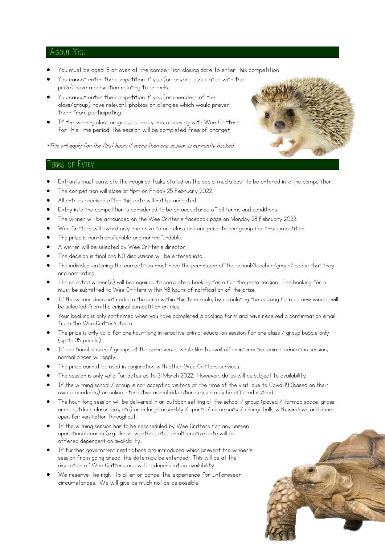#### About You

- You must be aged 18 or over at the competition closing date to enter this competition.
- You cannot enter the competition if you (or anyone associated with the prize) have a conviction relating to animals.
- You cannot enter the competition if you (or members of the class/group) have relevant phobias or allergies which would prevent them from participating.
- If the winning class or group already has a booking with Wee Critters for this time period, the session will be completed free of charge\*



\*This will apply for the first hour, if more than one session is currently booked.

#### Terms of Entry

- Entrants must complete the required tasks stated on the social media post to be entered into the competition.
- The competition will close at 4pm on Friday 25 February 2022.
- All entries received after this date will not be accepted.
- Entry into the competition is considered to be an acceptance of all terms and conditions.
- The winner will be announced on the Wee Critter's facebook page on Monday 28 February 2022.
- Wee Critters will award only one prize to one class and one prize to one group for this competition.
- The prize is non-transferable and non-refundable.
- A winner will be selected by Wee Critter's director.
- The decision is final and NO discussions will be entered into.
- The individual entering the competition must have the permission of the school/teacher/group/leader that they are nominating.
- The selected winner(s) will be required to complete a booking form for the prize session. The booking form must be submitted to Wee Critters within 48 hours of notification of the prize.
- If the winner does not redeem the prize within this time scale, by completing the booking form, a new winner will be selected from the original competition entries.
- Your booking is only confirmed when you have completed a booking form and have received a confirmation email from the Wee Critter's team.
- The prize is only valid for one hour-long interactive animal education session for one class / group bubble only (up to 35 people).
- If additional classes / groups at the same venue would like to avail of an interactive animal education session, normal prices will apply.
- The prize cannot be used in conjunction with other Wee Critters services.
- The session is only valid for dates up to 31 March 2022. However, dates will be subject to availability.
- If the winning school / group is not accepting visitors at the time of the visit, due to Covid-19 (based on their own procedures) an online interactive animal education session may be offered instead.
- The hour-long session will be delivered in an outdoor setting at the school / group (paved / tarmac space, grass area, outdoor classroom, etc) or in large assembly / sports / community / charge halls with windows and doors open for ventilation throughout.
- If the winning session has to be rescheduled by Wee Critters for any unseen operational reason (e.g. illness, weather, etc) an alternative date will be offered dependent on availability.
- If further government restrictions are introduced which prevent the winner's session from going ahead, the date may be extended. This will be at the discretion of Wee Critters and will be dependent on availability.
- We reserve the right to alter or cancel the experience for unforeseen circumstances. We will give as much notice as possible.

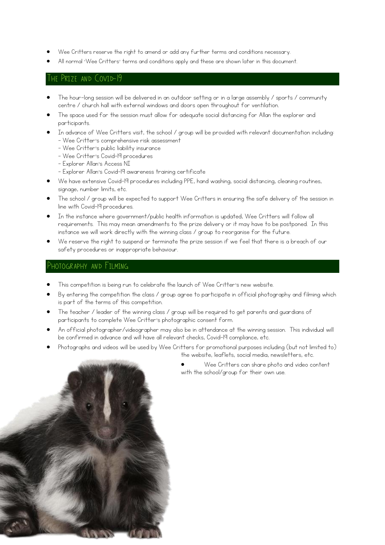- Wee Critters reserve the right to amend or add any further terms and conditions necessary.
- All normal 'Wee Critters' terms and conditions apply and these are shown later in this document.

#### The Prize and Covid-19

- The hour-long session will be delivered in an outdoor setting or in a large assembly / sports / community centre / church hall with external windows and doors open throughout for ventilation.
- The space used for the session must allow for adequate social distancing for Allan the explorer and participants.
- In advance of Wee Critters visit, the school / group will be provided with relevant documentation including:
	- Wee Critter's comprehensive risk assessment
	- Wee Critter's public liability insurance
	- Wee Critter's Covid-19 procedures
	- Explorer Allan's Access NI
	- Explorer Allan's Covid-19 awareness training certificate
- We have extensive Covid-19 procedures including PPE, hand washing, social distancing, cleaning routines, signage, number limits, etc.
- The school / group will be expected to support Wee Critters in ensuring the safe delivery of the session in line with Covid-19 procedures.
- In the instance where government/public health information is updated, Wee Critters will follow all requirements. This may mean amendments to the prize delivery or it may have to be postponed. In this instance we will work directly with the winning class / group to reorganise for the future.
- We reserve the right to suspend or terminate the prize session if we feel that there is a breach of our safety procedures or inappropriate behaviour.

#### Photography and Filming

- This competition is being run to celebrate the launch of Wee Critter's new website.
- By entering the competition the class / group agree to participate in official photography and filming which is part of the terms of this competition.
- The teacher / leader of the winning class / group will be required to get parents and guardians of participants to complete Wee Critter's photographic consent form.
- An official photographer/videographer may also be in attendance at the winning session. This individual will be confirmed in advance and will have all relevant checks, Covid-19 compliance, etc.
- Photographs and videos will be used by Wee Critters for promotional purposes including (but not limited to) the website, leaflets, social media, newsletters, etc.



 Wee Critters can share photo and video content with the school/group for their own use.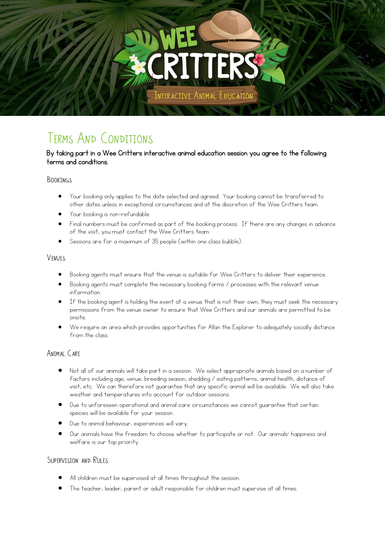NTERACTIVE ANIMAL EDUCATION

### Terms And Conditions

#### By taking part in a Wee Critters interactive animal education session you agree to the following terms and conditions.

#### **BOOKINGS**

- Your booking only applies to the date selected and agreed. Your booking cannot be transferred to other dates unless in exceptional circumstances and at the discretion of the Wee Critters team.
- Your booking is non-refundable.
- Final numbers must be confirmed as part of the booking process. If there are any changes in advance of the visit, you must contact the Wee Critters team.
- Sessions are for a maximum of 35 people (within one class bubble).

#### **VENUES**

- Booking agents must ensure that the venue is suitable for Wee Critters to deliver their experience.
- Booking agents must complete the necessary booking forms / processes with the relevant venue information.
- If the booking agent is holding the event at a venue that is not their own, they must seek the necessary permissions from the venue owner to ensure that Wee Critters and our animals are permitted to be onsite.
- We require an area which provides opportunities for Allan the Explorer to adequately socially distance from the class.

### ANIMAI CARF

- Not all of our animals will take part in a session. We select appropriate animals based on a number of factors including age, venue, breeding season, shedding / eating patterns, animal health, distance of visit, etc. We can therefore not guarantee that any specific animal will be available. We will also take weather and temperatures into account for outdoor sessions.
- Due to unforeseen operational and animal care circumstances we cannot guarantee that certain species will be available for your session.
- Due to animal behaviour, experiences will vary.
- Our animals have the freedom to choose whether to participate or not. Our animals' happiness and welfare is our top priority.

### SUPERVISION AND RULES

- All children must be supervised at all times throughout the session.
- The teacher, leader, parent or adult responsible for children must supervise at all times.